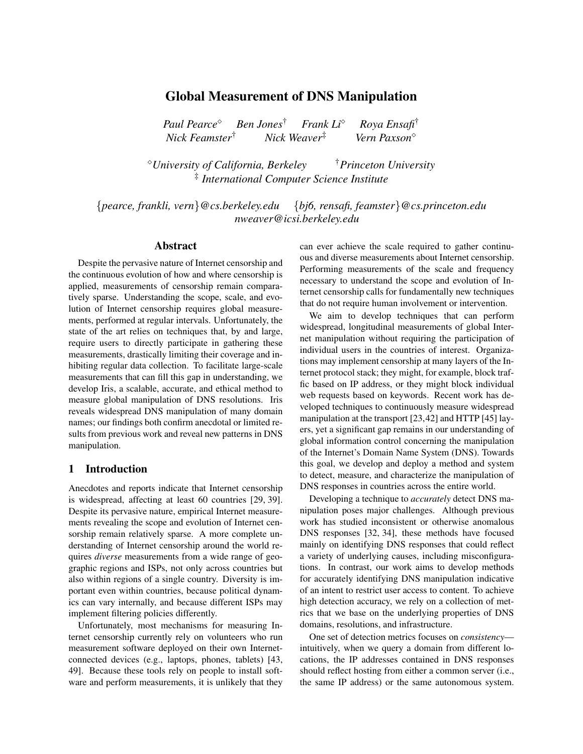# Global Measurement of DNS Manipulation

*Paul Pearce Ben Jones*† *Frank Li Roya Ensafi*† *Nick Feamster*† *Nick Weaver*‡ *Vern Paxson*

*University of California, Berkeley* †*Princeton University* ‡ *International Computer Science Institute*

{*pearce, frankli, vern*}*@cs.berkeley.edu* {*bj6, rensafi, feamster*}*@cs.princeton.edu nweaver@icsi.berkeley.edu*

# Abstract

Despite the pervasive nature of Internet censorship and the continuous evolution of how and where censorship is applied, measurements of censorship remain comparatively sparse. Understanding the scope, scale, and evolution of Internet censorship requires global measurements, performed at regular intervals. Unfortunately, the state of the art relies on techniques that, by and large, require users to directly participate in gathering these measurements, drastically limiting their coverage and inhibiting regular data collection. To facilitate large-scale measurements that can fill this gap in understanding, we develop Iris, a scalable, accurate, and ethical method to measure global manipulation of DNS resolutions. Iris reveals widespread DNS manipulation of many domain names; our findings both confirm anecdotal or limited results from previous work and reveal new patterns in DNS manipulation.

#### 1 Introduction

Anecdotes and reports indicate that Internet censorship is widespread, affecting at least 60 countries [29, 39]. Despite its pervasive nature, empirical Internet measurements revealing the scope and evolution of Internet censorship remain relatively sparse. A more complete understanding of Internet censorship around the world requires *diverse* measurements from a wide range of geographic regions and ISPs, not only across countries but also within regions of a single country. Diversity is important even within countries, because political dynamics can vary internally, and because different ISPs may implement filtering policies differently.

Unfortunately, most mechanisms for measuring Internet censorship currently rely on volunteers who run measurement software deployed on their own Internetconnected devices (e.g., laptops, phones, tablets) [43, 49]. Because these tools rely on people to install software and perform measurements, it is unlikely that they can ever achieve the scale required to gather continuous and diverse measurements about Internet censorship. Performing measurements of the scale and frequency necessary to understand the scope and evolution of Internet censorship calls for fundamentally new techniques that do not require human involvement or intervention.

We aim to develop techniques that can perform widespread, longitudinal measurements of global Internet manipulation without requiring the participation of individual users in the countries of interest. Organizations may implement censorship at many layers of the Internet protocol stack; they might, for example, block traffic based on IP address, or they might block individual web requests based on keywords. Recent work has developed techniques to continuously measure widespread manipulation at the transport [23,42] and HTTP [45] layers, yet a significant gap remains in our understanding of global information control concerning the manipulation of the Internet's Domain Name System (DNS). Towards this goal, we develop and deploy a method and system to detect, measure, and characterize the manipulation of DNS responses in countries across the entire world.

Developing a technique to *accurately* detect DNS manipulation poses major challenges. Although previous work has studied inconsistent or otherwise anomalous DNS responses [32, 34], these methods have focused mainly on identifying DNS responses that could reflect a variety of underlying causes, including misconfigurations. In contrast, our work aims to develop methods for accurately identifying DNS manipulation indicative of an intent to restrict user access to content. To achieve high detection accuracy, we rely on a collection of metrics that we base on the underlying properties of DNS domains, resolutions, and infrastructure.

One set of detection metrics focuses on *consistency* intuitively, when we query a domain from different locations, the IP addresses contained in DNS responses should reflect hosting from either a common server (i.e., the same IP address) or the same autonomous system.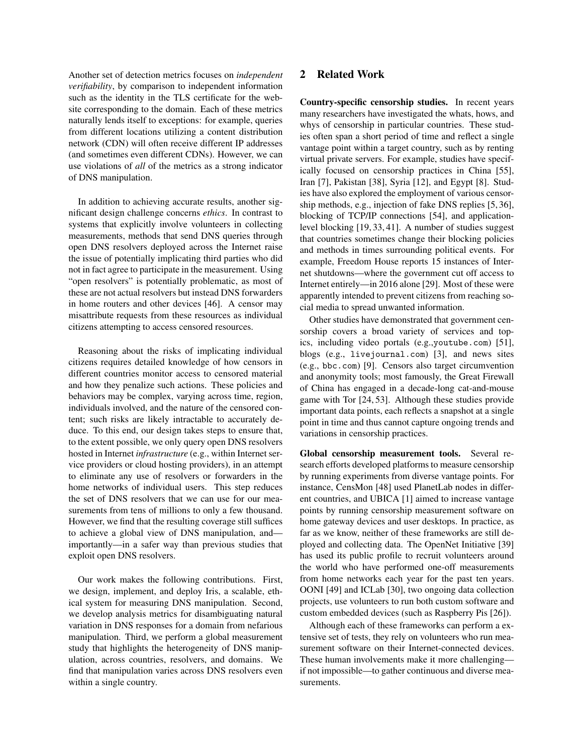Another set of detection metrics focuses on *independent verifiability*, by comparison to independent information such as the identity in the TLS certificate for the website corresponding to the domain. Each of these metrics naturally lends itself to exceptions: for example, queries from different locations utilizing a content distribution network (CDN) will often receive different IP addresses (and sometimes even different CDNs). However, we can use violations of *all* of the metrics as a strong indicator of DNS manipulation.

In addition to achieving accurate results, another significant design challenge concerns *ethics*. In contrast to systems that explicitly involve volunteers in collecting measurements, methods that send DNS queries through open DNS resolvers deployed across the Internet raise the issue of potentially implicating third parties who did not in fact agree to participate in the measurement. Using "open resolvers" is potentially problematic, as most of these are not actual resolvers but instead DNS forwarders in home routers and other devices [46]. A censor may misattribute requests from these resources as individual citizens attempting to access censored resources.

Reasoning about the risks of implicating individual citizens requires detailed knowledge of how censors in different countries monitor access to censored material and how they penalize such actions. These policies and behaviors may be complex, varying across time, region, individuals involved, and the nature of the censored content; such risks are likely intractable to accurately deduce. To this end, our design takes steps to ensure that, to the extent possible, we only query open DNS resolvers hosted in Internet *infrastructure* (e.g., within Internet service providers or cloud hosting providers), in an attempt to eliminate any use of resolvers or forwarders in the home networks of individual users. This step reduces the set of DNS resolvers that we can use for our measurements from tens of millions to only a few thousand. However, we find that the resulting coverage still suffices to achieve a global view of DNS manipulation, and importantly—in a safer way than previous studies that exploit open DNS resolvers.

Our work makes the following contributions. First, we design, implement, and deploy Iris, a scalable, ethical system for measuring DNS manipulation. Second, we develop analysis metrics for disambiguating natural variation in DNS responses for a domain from nefarious manipulation. Third, we perform a global measurement study that highlights the heterogeneity of DNS manipulation, across countries, resolvers, and domains. We find that manipulation varies across DNS resolvers even within a single country.

# 2 Related Work

Country-specific censorship studies. In recent years many researchers have investigated the whats, hows, and whys of censorship in particular countries. These studies often span a short period of time and reflect a single vantage point within a target country, such as by renting virtual private servers. For example, studies have specifically focused on censorship practices in China [55], Iran [7], Pakistan [38], Syria [12], and Egypt [8]. Studies have also explored the employment of various censorship methods, e.g., injection of fake DNS replies [5, 36], blocking of TCP/IP connections [54], and applicationlevel blocking [19, 33, 41]. A number of studies suggest that countries sometimes change their blocking policies and methods in times surrounding political events. For example, Freedom House reports 15 instances of Internet shutdowns—where the government cut off access to Internet entirely—in 2016 alone [29]. Most of these were apparently intended to prevent citizens from reaching social media to spread unwanted information.

Other studies have demonstrated that government censorship covers a broad variety of services and topics, including video portals (e.g.,youtube.com) [51], blogs (e.g., livejournal.com) [3], and news sites (e.g., bbc.com) [9]. Censors also target circumvention and anonymity tools; most famously, the Great Firewall of China has engaged in a decade-long cat-and-mouse game with Tor [24, 53]. Although these studies provide important data points, each reflects a snapshot at a single point in time and thus cannot capture ongoing trends and variations in censorship practices.

Global censorship measurement tools. Several research efforts developed platforms to measure censorship by running experiments from diverse vantage points. For instance, CensMon [48] used PlanetLab nodes in different countries, and UBICA [1] aimed to increase vantage points by running censorship measurement software on home gateway devices and user desktops. In practice, as far as we know, neither of these frameworks are still deployed and collecting data. The OpenNet Initiative [39] has used its public profile to recruit volunteers around the world who have performed one-off measurements from home networks each year for the past ten years. OONI [49] and ICLab [30], two ongoing data collection projects, use volunteers to run both custom software and custom embedded devices (such as Raspberry Pis [26]).

Although each of these frameworks can perform a extensive set of tests, they rely on volunteers who run measurement software on their Internet-connected devices. These human involvements make it more challenging if not impossible—to gather continuous and diverse measurements.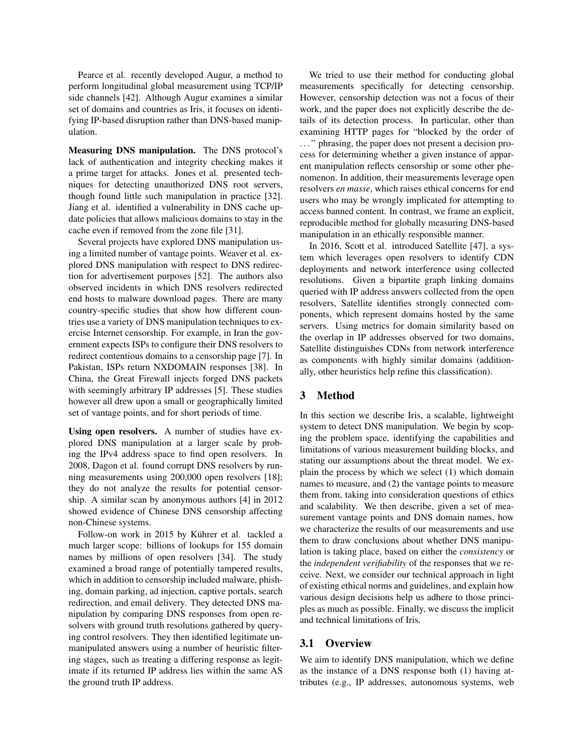Pearce et al. recently developed Augur, a method to perform longitudinal global measurement using TCP/IP side channels [42]. Although Augur examines a similar set of domains and countries as Iris, it focuses on identifying IP-based disruption rather than DNS-based manipulation.

Measuring DNS manipulation. The DNS protocol's lack of authentication and integrity checking makes it a prime target for attacks. Jones et al. presented techniques for detecting unauthorized DNS root servers, though found little such manipulation in practice [32]. Jiang et al. identified a vulnerability in DNS cache update policies that allows malicious domains to stay in the cache even if removed from the zone file [31].

Several projects have explored DNS manipulation using a limited number of vantage points. Weaver et al. explored DNS manipulation with respect to DNS redirection for advertisement purposes [52]. The authors also observed incidents in which DNS resolvers redirected end hosts to malware download pages. There are many country-specific studies that show how different countries use a variety of DNS manipulation techniques to exercise Internet censorship. For example, in Iran the government expects ISPs to configure their DNS resolvers to redirect contentious domains to a censorship page [7]. In Pakistan, ISPs return NXDOMAIN responses [38]. In China, the Great Firewall injects forged DNS packets with seemingly arbitrary IP addresses [5]. These studies however all drew upon a small or geographically limited set of vantage points, and for short periods of time.

Using open resolvers. A number of studies have explored DNS manipulation at a larger scale by probing the IPv4 address space to find open resolvers. In 2008, Dagon et al. found corrupt DNS resolvers by running measurements using 200,000 open resolvers [18]; they do not analyze the results for potential censorship. A similar scan by anonymous authors [4] in 2012 showed evidence of Chinese DNS censorship affecting non-Chinese systems.

Follow-on work in 2015 by Kührer et al. tackled a much larger scope: billions of lookups for 155 domain names by millions of open resolvers [34]. The study examined a broad range of potentially tampered results, which in addition to censorship included malware, phishing, domain parking, ad injection, captive portals, search redirection, and email delivery. They detected DNS manipulation by comparing DNS responses from open resolvers with ground truth resolutions gathered by querying control resolvers. They then identified legitimate unmanipulated answers using a number of heuristic filtering stages, such as treating a differing response as legitimate if its returned IP address lies within the same AS the ground truth IP address.

We tried to use their method for conducting global measurements specifically for detecting censorship. However, censorship detection was not a focus of their work, and the paper does not explicitly describe the details of its detection process. In particular, other than examining HTTP pages for "blocked by the order of . . . " phrasing, the paper does not present a decision process for determining whether a given instance of apparent manipulation reflects censorship or some other phenomenon. In addition, their measurements leverage open resolvers *en masse*, which raises ethical concerns for end users who may be wrongly implicated for attempting to access banned content. In contrast, we frame an explicit, reproducible method for globally measuring DNS-based manipulation in an ethically responsible manner.

In 2016, Scott et al. introduced Satellite [47], a system which leverages open resolvers to identify CDN deployments and network interference using collected resolutions. Given a bipartite graph linking domains queried with IP address answers collected from the open resolvers, Satellite identifies strongly connected components, which represent domains hosted by the same servers. Using metrics for domain similarity based on the overlap in IP addresses observed for two domains, Satellite distinguishes CDNs from network interference as components with highly similar domains (additionally, other heuristics help refine this classification).

# 3 Method

In this section we describe Iris, a scalable, lightweight system to detect DNS manipulation. We begin by scoping the problem space, identifying the capabilities and limitations of various measurement building blocks, and stating our assumptions about the threat model. We explain the process by which we select (1) which domain names to measure, and (2) the vantage points to measure them from, taking into consideration questions of ethics and scalability. We then describe, given a set of measurement vantage points and DNS domain names, how we characterize the results of our measurements and use them to draw conclusions about whether DNS manipulation is taking place, based on either the *consistency* or the *independent verifiability* of the responses that we receive. Next, we consider our technical approach in light of existing ethical norms and guidelines, and explain how various design decisions help us adhere to those principles as much as possible. Finally, we discuss the implicit and technical limitations of Iris.

#### 3.1 Overview

We aim to identify DNS manipulation, which we define as the instance of a DNS response both (1) having attributes (e.g., IP addresses, autonomous systems, web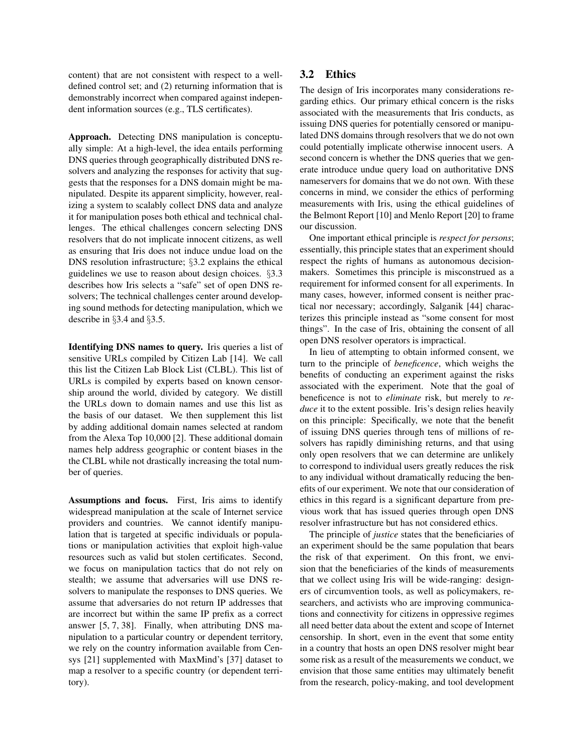content) that are not consistent with respect to a welldefined control set; and (2) returning information that is demonstrably incorrect when compared against independent information sources (e.g., TLS certificates).

Approach. Detecting DNS manipulation is conceptually simple: At a high-level, the idea entails performing DNS queries through geographically distributed DNS resolvers and analyzing the responses for activity that suggests that the responses for a DNS domain might be manipulated. Despite its apparent simplicity, however, realizing a system to scalably collect DNS data and analyze it for manipulation poses both ethical and technical challenges. The ethical challenges concern selecting DNS resolvers that do not implicate innocent citizens, as well as ensuring that Iris does not induce undue load on the DNS resolution infrastructure; §3.2 explains the ethical guidelines we use to reason about design choices. §3.3 describes how Iris selects a "safe" set of open DNS resolvers; The technical challenges center around developing sound methods for detecting manipulation, which we describe in §3.4 and §3.5.

Identifying DNS names to query. Iris queries a list of sensitive URLs compiled by Citizen Lab [14]. We call this list the Citizen Lab Block List (CLBL). This list of URLs is compiled by experts based on known censorship around the world, divided by category. We distill the URLs down to domain names and use this list as the basis of our dataset. We then supplement this list by adding additional domain names selected at random from the Alexa Top 10,000 [2]. These additional domain names help address geographic or content biases in the the CLBL while not drastically increasing the total number of queries.

Assumptions and focus. First, Iris aims to identify widespread manipulation at the scale of Internet service providers and countries. We cannot identify manipulation that is targeted at specific individuals or populations or manipulation activities that exploit high-value resources such as valid but stolen certificates. Second, we focus on manipulation tactics that do not rely on stealth; we assume that adversaries will use DNS resolvers to manipulate the responses to DNS queries. We assume that adversaries do not return IP addresses that are incorrect but within the same IP prefix as a correct answer [5, 7, 38]. Finally, when attributing DNS manipulation to a particular country or dependent territory, we rely on the country information available from Censys [21] supplemented with MaxMind's [37] dataset to map a resolver to a specific country (or dependent territory).

# 3.2 Ethics

The design of Iris incorporates many considerations regarding ethics. Our primary ethical concern is the risks associated with the measurements that Iris conducts, as issuing DNS queries for potentially censored or manipulated DNS domains through resolvers that we do not own could potentially implicate otherwise innocent users. A second concern is whether the DNS queries that we generate introduce undue query load on authoritative DNS nameservers for domains that we do not own. With these concerns in mind, we consider the ethics of performing measurements with Iris, using the ethical guidelines of the Belmont Report [10] and Menlo Report [20] to frame our discussion.

One important ethical principle is *respect for persons*; essentially, this principle states that an experiment should respect the rights of humans as autonomous decisionmakers. Sometimes this principle is misconstrued as a requirement for informed consent for all experiments. In many cases, however, informed consent is neither practical nor necessary; accordingly, Salganik [44] characterizes this principle instead as "some consent for most things". In the case of Iris, obtaining the consent of all open DNS resolver operators is impractical.

In lieu of attempting to obtain informed consent, we turn to the principle of *beneficence*, which weighs the benefits of conducting an experiment against the risks associated with the experiment. Note that the goal of beneficence is not to *eliminate* risk, but merely to *reduce* it to the extent possible. Iris's design relies heavily on this principle: Specifically, we note that the benefit of issuing DNS queries through tens of millions of resolvers has rapidly diminishing returns, and that using only open resolvers that we can determine are unlikely to correspond to individual users greatly reduces the risk to any individual without dramatically reducing the benefits of our experiment. We note that our consideration of ethics in this regard is a significant departure from previous work that has issued queries through open DNS resolver infrastructure but has not considered ethics.

The principle of *justice* states that the beneficiaries of an experiment should be the same population that bears the risk of that experiment. On this front, we envision that the beneficiaries of the kinds of measurements that we collect using Iris will be wide-ranging: designers of circumvention tools, as well as policymakers, researchers, and activists who are improving communications and connectivity for citizens in oppressive regimes all need better data about the extent and scope of Internet censorship. In short, even in the event that some entity in a country that hosts an open DNS resolver might bear some risk as a result of the measurements we conduct, we envision that those same entities may ultimately benefit from the research, policy-making, and tool development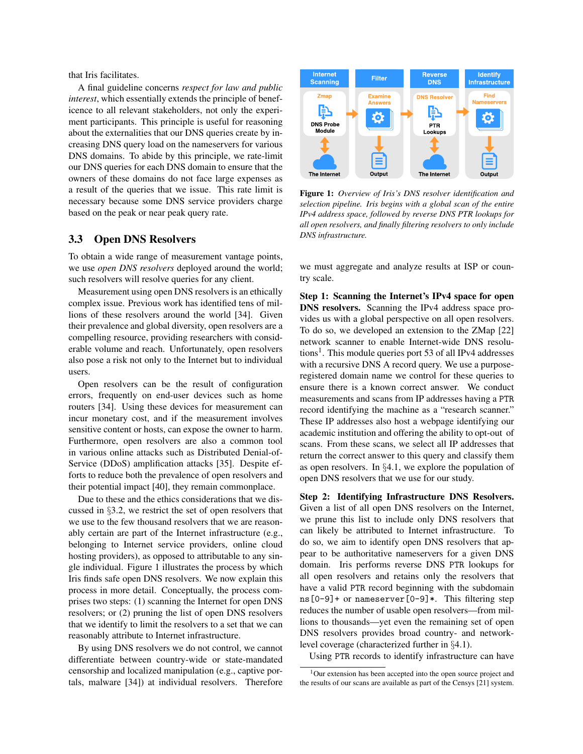that Iris facilitates.

A final guideline concerns *respect for law and public interest*, which essentially extends the principle of beneficence to all relevant stakeholders, not only the experiment participants. This principle is useful for reasoning about the externalities that our DNS queries create by increasing DNS query load on the nameservers for various DNS domains. To abide by this principle, we rate-limit our DNS queries for each DNS domain to ensure that the owners of these domains do not face large expenses as a result of the queries that we issue. This rate limit is necessary because some DNS service providers charge based on the peak or near peak query rate.

### 3.3 Open DNS Resolvers

To obtain a wide range of measurement vantage points, we use *open DNS resolvers* deployed around the world; such resolvers will resolve queries for any client.

Measurement using open DNS resolvers is an ethically complex issue. Previous work has identified tens of millions of these resolvers around the world [34]. Given their prevalence and global diversity, open resolvers are a compelling resource, providing researchers with considerable volume and reach. Unfortunately, open resolvers also pose a risk not only to the Internet but to individual users.

Open resolvers can be the result of configuration errors, frequently on end-user devices such as home routers [34]. Using these devices for measurement can incur monetary cost, and if the measurement involves sensitive content or hosts, can expose the owner to harm. Furthermore, open resolvers are also a common tool in various online attacks such as Distributed Denial-of-Service (DDoS) amplification attacks [35]. Despite efforts to reduce both the prevalence of open resolvers and their potential impact [40], they remain commonplace.

Due to these and the ethics considerations that we discussed in §3.2, we restrict the set of open resolvers that we use to the few thousand resolvers that we are reasonably certain are part of the Internet infrastructure (e.g., belonging to Internet service providers, online cloud hosting providers), as opposed to attributable to any single individual. Figure 1 illustrates the process by which Iris finds safe open DNS resolvers. We now explain this process in more detail. Conceptually, the process comprises two steps: (1) scanning the Internet for open DNS resolvers; or (2) pruning the list of open DNS resolvers that we identify to limit the resolvers to a set that we can reasonably attribute to Internet infrastructure.

By using DNS resolvers we do not control, we cannot differentiate between country-wide or state-mandated censorship and localized manipulation (e.g., captive portals, malware [34]) at individual resolvers. Therefore



Figure 1: *Overview of Iris's DNS resolver identification and selection pipeline. Iris begins with a global scan of the entire IPv4 address space, followed by reverse DNS PTR lookups for all open resolvers, and finally filtering resolvers to only include DNS infrastructure.*

we must aggregate and analyze results at ISP or country scale.

Step 1: Scanning the Internet's IPv4 space for open DNS resolvers. Scanning the IPv4 address space provides us with a global perspective on all open resolvers. To do so, we developed an extension to the ZMap [22] network scanner to enable Internet-wide DNS resolutions<sup>1</sup>. This module queries port 53 of all IPv4 addresses with a recursive DNS A record query. We use a purposeregistered domain name we control for these queries to ensure there is a known correct answer. We conduct measurements and scans from IP addresses having a PTR record identifying the machine as a "research scanner." These IP addresses also host a webpage identifying our academic institution and offering the ability to opt-out of scans. From these scans, we select all IP addresses that return the correct answer to this query and classify them as open resolvers. In §4.1, we explore the population of open DNS resolvers that we use for our study.

Step 2: Identifying Infrastructure DNS Resolvers. Given a list of all open DNS resolvers on the Internet, we prune this list to include only DNS resolvers that can likely be attributed to Internet infrastructure. To do so, we aim to identify open DNS resolvers that appear to be authoritative nameservers for a given DNS domain. Iris performs reverse DNS PTR lookups for all open resolvers and retains only the resolvers that have a valid PTR record beginning with the subdomain ns[0-9]+ or nameserver[0-9]\*. This filtering step reduces the number of usable open resolvers—from millions to thousands—yet even the remaining set of open DNS resolvers provides broad country- and networklevel coverage (characterized further in §4.1).

Using PTR records to identify infrastructure can have

<sup>&</sup>lt;sup>1</sup>Our extension has been accepted into the open source project and the results of our scans are available as part of the Censys [21] system.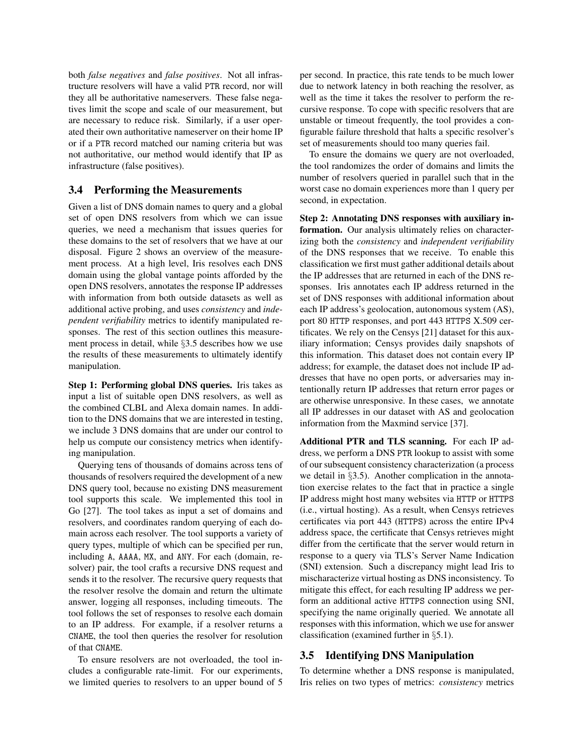both *false negatives* and *false positives*. Not all infrastructure resolvers will have a valid PTR record, nor will they all be authoritative nameservers. These false negatives limit the scope and scale of our measurement, but are necessary to reduce risk. Similarly, if a user operated their own authoritative nameserver on their home IP or if a PTR record matched our naming criteria but was not authoritative, our method would identify that IP as infrastructure (false positives).

### 3.4 Performing the Measurements

Given a list of DNS domain names to query and a global set of open DNS resolvers from which we can issue queries, we need a mechanism that issues queries for these domains to the set of resolvers that we have at our disposal. Figure 2 shows an overview of the measurement process. At a high level, Iris resolves each DNS domain using the global vantage points afforded by the open DNS resolvers, annotates the response IP addresses with information from both outside datasets as well as additional active probing, and uses *consistency* and *independent verifiability* metrics to identify manipulated responses. The rest of this section outlines this measurement process in detail, while §3.5 describes how we use the results of these measurements to ultimately identify manipulation.

Step 1: Performing global DNS queries. Iris takes as input a list of suitable open DNS resolvers, as well as the combined CLBL and Alexa domain names. In addition to the DNS domains that we are interested in testing, we include 3 DNS domains that are under our control to help us compute our consistency metrics when identifying manipulation.

Querying tens of thousands of domains across tens of thousands of resolvers required the development of a new DNS query tool, because no existing DNS measurement tool supports this scale. We implemented this tool in Go [27]. The tool takes as input a set of domains and resolvers, and coordinates random querying of each domain across each resolver. The tool supports a variety of query types, multiple of which can be specified per run, including A, AAAA, MX, and ANY. For each (domain, resolver) pair, the tool crafts a recursive DNS request and sends it to the resolver. The recursive query requests that the resolver resolve the domain and return the ultimate answer, logging all responses, including timeouts. The tool follows the set of responses to resolve each domain to an IP address. For example, if a resolver returns a CNAME, the tool then queries the resolver for resolution of that CNAME.

To ensure resolvers are not overloaded, the tool includes a configurable rate-limit. For our experiments, we limited queries to resolvers to an upper bound of 5 per second. In practice, this rate tends to be much lower due to network latency in both reaching the resolver, as well as the time it takes the resolver to perform the recursive response. To cope with specific resolvers that are unstable or timeout frequently, the tool provides a configurable failure threshold that halts a specific resolver's set of measurements should too many queries fail.

To ensure the domains we query are not overloaded, the tool randomizes the order of domains and limits the number of resolvers queried in parallel such that in the worst case no domain experiences more than 1 query per second, in expectation.

Step 2: Annotating DNS responses with auxiliary information. Our analysis ultimately relies on characterizing both the *consistency* and *independent verifiability* of the DNS responses that we receive. To enable this classification we first must gather additional details about the IP addresses that are returned in each of the DNS responses. Iris annotates each IP address returned in the set of DNS responses with additional information about each IP address's geolocation, autonomous system (AS), port 80 HTTP responses, and port 443 HTTPS X.509 certificates. We rely on the Censys [21] dataset for this auxiliary information; Censys provides daily snapshots of this information. This dataset does not contain every IP address; for example, the dataset does not include IP addresses that have no open ports, or adversaries may intentionally return IP addresses that return error pages or are otherwise unresponsive. In these cases, we annotate all IP addresses in our dataset with AS and geolocation information from the Maxmind service [37].

Additional PTR and TLS scanning. For each IP address, we perform a DNS PTR lookup to assist with some of our subsequent consistency characterization (a process we detail in §3.5). Another complication in the annotation exercise relates to the fact that in practice a single IP address might host many websites via HTTP or HTTPS (i.e., virtual hosting). As a result, when Censys retrieves certificates via port 443 (HTTPS) across the entire IPv4 address space, the certificate that Censys retrieves might differ from the certificate that the server would return in response to a query via TLS's Server Name Indication (SNI) extension. Such a discrepancy might lead Iris to mischaracterize virtual hosting as DNS inconsistency. To mitigate this effect, for each resulting IP address we perform an additional active HTTPS connection using SNI, specifying the name originally queried. We annotate all responses with this information, which we use for answer classification (examined further in §5.1).

# 3.5 Identifying DNS Manipulation

To determine whether a DNS response is manipulated, Iris relies on two types of metrics: *consistency* metrics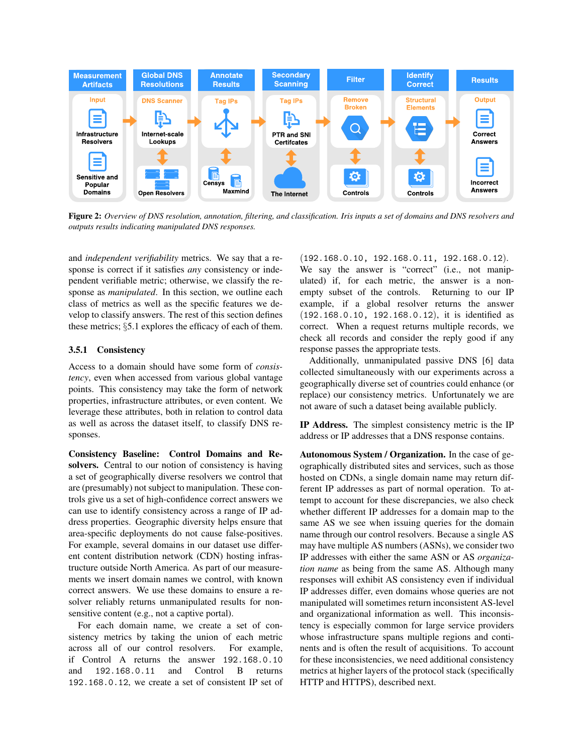

Figure 2: *Overview of DNS resolution, annotation, filtering, and classification. Iris inputs a set of domains and DNS resolvers and outputs results indicating manipulated DNS responses.*

and *independent verifiability* metrics. We say that a response is correct if it satisfies *any* consistency or independent verifiable metric; otherwise, we classify the response as *manipulated*. In this section, we outline each class of metrics as well as the specific features we develop to classify answers. The rest of this section defines these metrics; §5.1 explores the efficacy of each of them.

#### 3.5.1 Consistency

Access to a domain should have some form of *consistency*, even when accessed from various global vantage points. This consistency may take the form of network properties, infrastructure attributes, or even content. We leverage these attributes, both in relation to control data as well as across the dataset itself, to classify DNS responses.

Consistency Baseline: Control Domains and Resolvers. Central to our notion of consistency is having a set of geographically diverse resolvers we control that are (presumably) not subject to manipulation. These controls give us a set of high-confidence correct answers we can use to identify consistency across a range of IP address properties. Geographic diversity helps ensure that area-specific deployments do not cause false-positives. For example, several domains in our dataset use different content distribution network (CDN) hosting infrastructure outside North America. As part of our measurements we insert domain names we control, with known correct answers. We use these domains to ensure a resolver reliably returns unmanipulated results for nonsensitive content (e.g., not a captive portal).

For each domain name, we create a set of consistency metrics by taking the union of each metric across all of our control resolvers. For example, if Control A returns the answer 192.168.0.10 and 192.168.0.11 and Control B returns 192.168.0.12, we create a set of consistent IP set of

(192.168.0.10, 192.168.0.11, 192.168.0.12). We say the answer is "correct" (i.e., not manipulated) if, for each metric, the answer is a nonempty subset of the controls. Returning to our IP example, if a global resolver returns the answer (192.168.0.10, 192.168.0.12), it is identified as correct. When a request returns multiple records, we check all records and consider the reply good if any response passes the appropriate tests.

Additionally, unmanipulated passive DNS [6] data collected simultaneously with our experiments across a geographically diverse set of countries could enhance (or replace) our consistency metrics. Unfortunately we are not aware of such a dataset being available publicly.

IP Address. The simplest consistency metric is the IP address or IP addresses that a DNS response contains.

Autonomous System / Organization. In the case of geographically distributed sites and services, such as those hosted on CDNs, a single domain name may return different IP addresses as part of normal operation. To attempt to account for these discrepancies, we also check whether different IP addresses for a domain map to the same AS we see when issuing queries for the domain name through our control resolvers. Because a single AS may have multiple AS numbers (ASNs), we consider two IP addresses with either the same ASN or AS *organization name* as being from the same AS. Although many responses will exhibit AS consistency even if individual IP addresses differ, even domains whose queries are not manipulated will sometimes return inconsistent AS-level and organizational information as well. This inconsistency is especially common for large service providers whose infrastructure spans multiple regions and continents and is often the result of acquisitions. To account for these inconsistencies, we need additional consistency metrics at higher layers of the protocol stack (specifically HTTP and HTTPS), described next.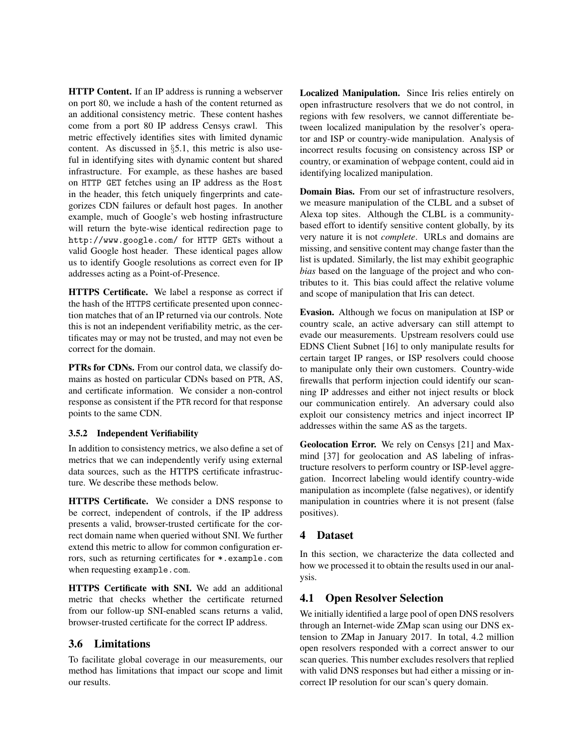HTTP Content. If an IP address is running a webserver on port 80, we include a hash of the content returned as an additional consistency metric. These content hashes come from a port 80 IP address Censys crawl. This metric effectively identifies sites with limited dynamic content. As discussed in §5.1, this metric is also useful in identifying sites with dynamic content but shared infrastructure. For example, as these hashes are based on HTTP GET fetches using an IP address as the Host in the header, this fetch uniquely fingerprints and categorizes CDN failures or default host pages. In another example, much of Google's web hosting infrastructure will return the byte-wise identical redirection page to http://www.google.com/ for HTTP GETs without a valid Google host header. These identical pages allow us to identify Google resolutions as correct even for IP addresses acting as a Point-of-Presence.

HTTPS Certificate. We label a response as correct if the hash of the HTTPS certificate presented upon connection matches that of an IP returned via our controls. Note this is not an independent verifiability metric, as the certificates may or may not be trusted, and may not even be correct for the domain.

PTRs for CDNs. From our control data, we classify domains as hosted on particular CDNs based on PTR, AS, and certificate information. We consider a non-control response as consistent if the PTR record for that response points to the same CDN.

#### 3.5.2 Independent Verifiability

In addition to consistency metrics, we also define a set of metrics that we can independently verify using external data sources, such as the HTTPS certificate infrastructure. We describe these methods below.

HTTPS Certificate. We consider a DNS response to be correct, independent of controls, if the IP address presents a valid, browser-trusted certificate for the correct domain name when queried without SNI. We further extend this metric to allow for common configuration errors, such as returning certificates for \*.example.com when requesting example.com.

HTTPS Certificate with SNI. We add an additional metric that checks whether the certificate returned from our follow-up SNI-enabled scans returns a valid, browser-trusted certificate for the correct IP address.

### 3.6 Limitations

To facilitate global coverage in our measurements, our method has limitations that impact our scope and limit our results.

Localized Manipulation. Since Iris relies entirely on open infrastructure resolvers that we do not control, in regions with few resolvers, we cannot differentiate between localized manipulation by the resolver's operator and ISP or country-wide manipulation. Analysis of incorrect results focusing on consistency across ISP or country, or examination of webpage content, could aid in identifying localized manipulation.

Domain Bias. From our set of infrastructure resolvers, we measure manipulation of the CLBL and a subset of Alexa top sites. Although the CLBL is a communitybased effort to identify sensitive content globally, by its very nature it is not *complete*. URLs and domains are missing, and sensitive content may change faster than the list is updated. Similarly, the list may exhibit geographic *bias* based on the language of the project and who contributes to it. This bias could affect the relative volume and scope of manipulation that Iris can detect.

Evasion. Although we focus on manipulation at ISP or country scale, an active adversary can still attempt to evade our measurements. Upstream resolvers could use EDNS Client Subnet [16] to only manipulate results for certain target IP ranges, or ISP resolvers could choose to manipulate only their own customers. Country-wide firewalls that perform injection could identify our scanning IP addresses and either not inject results or block our communication entirely. An adversary could also exploit our consistency metrics and inject incorrect IP addresses within the same AS as the targets.

Geolocation Error. We rely on Censys [21] and Maxmind [37] for geolocation and AS labeling of infrastructure resolvers to perform country or ISP-level aggregation. Incorrect labeling would identify country-wide manipulation as incomplete (false negatives), or identify manipulation in countries where it is not present (false positives).

# 4 Dataset

In this section, we characterize the data collected and how we processed it to obtain the results used in our analysis.

# 4.1 Open Resolver Selection

We initially identified a large pool of open DNS resolvers through an Internet-wide ZMap scan using our DNS extension to ZMap in January 2017. In total, 4.2 million open resolvers responded with a correct answer to our scan queries. This number excludes resolvers that replied with valid DNS responses but had either a missing or incorrect IP resolution for our scan's query domain.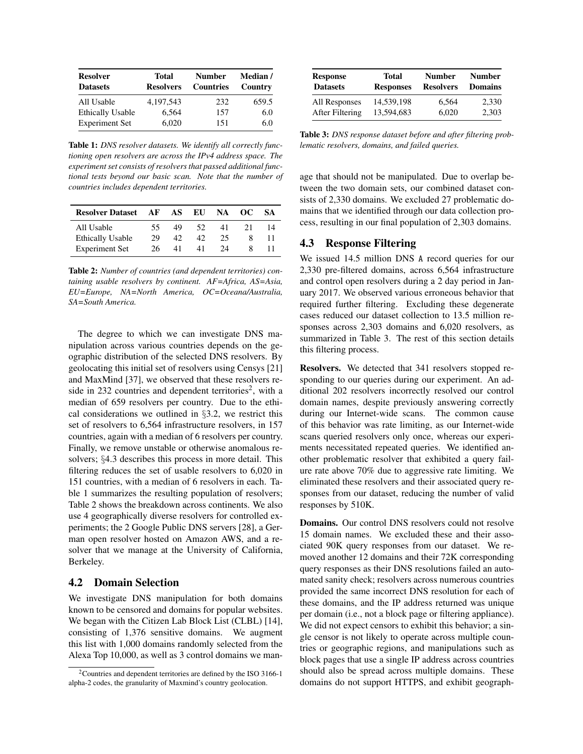| <b>Resolver</b><br><b>Datasets</b> | <b>Total</b><br><b>Resolvers</b> | <b>Number</b><br><b>Countries</b> | <b>Median</b> /<br>Country |
|------------------------------------|----------------------------------|-----------------------------------|----------------------------|
| All Usable                         | 4.197.543                        | 232                               | 659.5                      |
| <b>Ethically Usable</b>            | 6,564                            | 157                               | 6.0                        |
| <b>Experiment Set</b>              | 6,020                            | 151                               | 6.0                        |

Table 1: *DNS resolver datasets. We identify all correctly functioning open resolvers are across the IPv4 address space. The experiment set consists of resolvers that passed additional functional tests beyond our basic scan. Note that the number of countries includes dependent territories.*

| <b>Resolver Dataset</b> | AF | AS | EU | NA | OC. | <b>SA</b> |
|-------------------------|----|----|----|----|-----|-----------|
| All Usable              | 55 | 49 | 52 | 41 |     | 14        |
| <b>Ethically Usable</b> | 29 | 42 | 42 | 25 |     |           |
| <b>Experiment Set</b>   | 26 | 41 | 41 | 24 |     |           |

Table 2: *Number of countries (and dependent territories) containing usable resolvers by continent. AF=Africa, AS=Asia, EU=Europe, NA=North America, OC=Oceana/Australia, SA=South America.*

The degree to which we can investigate DNS manipulation across various countries depends on the geographic distribution of the selected DNS resolvers. By geolocating this initial set of resolvers using Censys [21] and MaxMind [37], we observed that these resolvers reside in 232 countries and dependent territories<sup>2</sup>, with a median of 659 resolvers per country. Due to the ethical considerations we outlined in §3.2, we restrict this set of resolvers to 6,564 infrastructure resolvers, in 157 countries, again with a median of 6 resolvers per country. Finally, we remove unstable or otherwise anomalous resolvers; §4.3 describes this process in more detail. This filtering reduces the set of usable resolvers to 6,020 in 151 countries, with a median of 6 resolvers in each. Table 1 summarizes the resulting population of resolvers; Table 2 shows the breakdown across continents. We also use 4 geographically diverse resolvers for controlled experiments; the 2 Google Public DNS servers [28], a German open resolver hosted on Amazon AWS, and a resolver that we manage at the University of California, Berkeley.

#### 4.2 Domain Selection

We investigate DNS manipulation for both domains known to be censored and domains for popular websites. We began with the Citizen Lab Block List (CLBL) [14], consisting of 1,376 sensitive domains. We augment this list with 1,000 domains randomly selected from the Alexa Top 10,000, as well as 3 control domains we man-

| <b>Response</b> | Total            | <b>Number</b>    | <b>Number</b>  |
|-----------------|------------------|------------------|----------------|
| <b>Datasets</b> | <b>Responses</b> | <b>Resolvers</b> | <b>Domains</b> |
| All Responses   | 14.539.198       | 6.564            | 2,330          |
| After Filtering | 13.594.683       | 6.020            | 2.303          |

Table 3: *DNS response dataset before and after filtering problematic resolvers, domains, and failed queries.*

age that should not be manipulated. Due to overlap between the two domain sets, our combined dataset consists of 2,330 domains. We excluded 27 problematic domains that we identified through our data collection process, resulting in our final population of 2,303 domains.

#### 4.3 Response Filtering

We issued 14.5 million DNS A record queries for our 2,330 pre-filtered domains, across 6,564 infrastructure and control open resolvers during a 2 day period in January 2017. We observed various erroneous behavior that required further filtering. Excluding these degenerate cases reduced our dataset collection to 13.5 million responses across 2,303 domains and 6,020 resolvers, as summarized in Table 3. The rest of this section details this filtering process.

Resolvers. We detected that 341 resolvers stopped responding to our queries during our experiment. An additional 202 resolvers incorrectly resolved our control domain names, despite previously answering correctly during our Internet-wide scans. The common cause of this behavior was rate limiting, as our Internet-wide scans queried resolvers only once, whereas our experiments necessitated repeated queries. We identified another problematic resolver that exhibited a query failure rate above 70% due to aggressive rate limiting. We eliminated these resolvers and their associated query responses from our dataset, reducing the number of valid responses by 510K.

Domains. Our control DNS resolvers could not resolve 15 domain names. We excluded these and their associated 90K query responses from our dataset. We removed another 12 domains and their 72K corresponding query responses as their DNS resolutions failed an automated sanity check; resolvers across numerous countries provided the same incorrect DNS resolution for each of these domains, and the IP address returned was unique per domain (i.e., not a block page or filtering appliance). We did not expect censors to exhibit this behavior; a single censor is not likely to operate across multiple countries or geographic regions, and manipulations such as block pages that use a single IP address across countries should also be spread across multiple domains. These domains do not support HTTPS, and exhibit geograph-

<sup>2</sup>Countries and dependent territories are defined by the ISO 3166-1 alpha-2 codes, the granularity of Maxmind's country geolocation.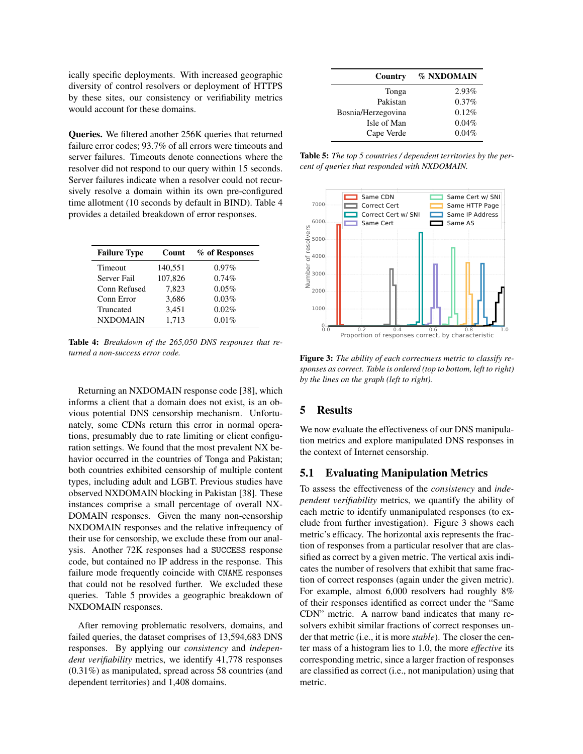ically specific deployments. With increased geographic diversity of control resolvers or deployment of HTTPS by these sites, our consistency or verifiability metrics would account for these domains.

Queries. We filtered another 256K queries that returned failure error codes; 93.7% of all errors were timeouts and server failures. Timeouts denote connections where the resolver did not respond to our query within 15 seconds. Server failures indicate when a resolver could not recursively resolve a domain within its own pre-configured time allotment (10 seconds by default in BIND). Table 4 provides a detailed breakdown of error responses.

| <b>Failure Type</b> | Count   | % of Responses |
|---------------------|---------|----------------|
| <b>Timeout</b>      | 140,551 | $0.97\%$       |
| Server Fail         | 107,826 | 0.74%          |
| Conn Refused        | 7,823   | 0.05%          |
| Conn Error          | 3,686   | 0.03%          |
| Truncated           | 3,451   | 0.02%          |
| <b>NXDOMAIN</b>     | 1.713   | 0.01%          |
|                     |         |                |

Table 4: *Breakdown of the 265,050 DNS responses that returned a non-success error code.*

Returning an NXDOMAIN response code [38], which informs a client that a domain does not exist, is an obvious potential DNS censorship mechanism. Unfortunately, some CDNs return this error in normal operations, presumably due to rate limiting or client configuration settings. We found that the most prevalent NX behavior occurred in the countries of Tonga and Pakistan; both countries exhibited censorship of multiple content types, including adult and LGBT. Previous studies have observed NXDOMAIN blocking in Pakistan [38]. These instances comprise a small percentage of overall NX-DOMAIN responses. Given the many non-censorship NXDOMAIN responses and the relative infrequency of their use for censorship, we exclude these from our analysis. Another 72K responses had a SUCCESS response code, but contained no IP address in the response. This failure mode frequently coincide with CNAME responses that could not be resolved further. We excluded these queries. Table 5 provides a geographic breakdown of NXDOMAIN responses.

After removing problematic resolvers, domains, and failed queries, the dataset comprises of 13,594,683 DNS responses. By applying our *consistency* and *independent verifiability* metrics, we identify 41,778 responses (0.31%) as manipulated, spread across 58 countries (and dependent territories) and 1,408 domains.

| Country            | % NXDOMAIN |
|--------------------|------------|
| Tonga              | $2.93\%$   |
| Pakistan           | 0.37%      |
| Bosnia/Herzegovina | 0.12%      |
| Isle of Man        | 0.04%      |
| Cape Verde         | 0.04%      |

Table 5: *The top 5 countries / dependent territories by the percent of queries that responded with NXDOMAIN.*



Figure 3: *The ability of each correctness metric to classify responses as correct. Table is ordered (top to bottom, left to right) by the lines on the graph (left to right).*

# 5 Results

We now evaluate the effectiveness of our DNS manipulation metrics and explore manipulated DNS responses in the context of Internet censorship.

## 5.1 Evaluating Manipulation Metrics

To assess the effectiveness of the *consistency* and *independent verifiability* metrics, we quantify the ability of each metric to identify unmanipulated responses (to exclude from further investigation). Figure 3 shows each metric's efficacy. The horizontal axis represents the fraction of responses from a particular resolver that are classified as correct by a given metric. The vertical axis indicates the number of resolvers that exhibit that same fraction of correct responses (again under the given metric). For example, almost 6,000 resolvers had roughly 8% of their responses identified as correct under the "Same CDN" metric. A narrow band indicates that many resolvers exhibit similar fractions of correct responses under that metric (i.e., it is more *stable*). The closer the center mass of a histogram lies to 1.0, the more *effective* its corresponding metric, since a larger fraction of responses are classified as correct (i.e., not manipulation) using that metric.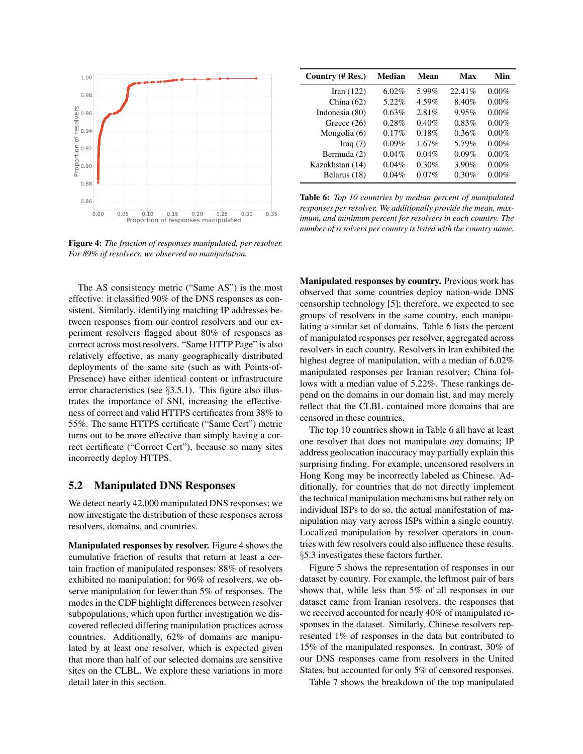

Figure 4: *The fraction of responses manipulated, per resolver. For 89% of resolvers, we observed no manipulation.*

The AS consistency metric ("Same AS") is the most effective: it classified 90% of the DNS responses as consistent. Similarly, identifying matching IP addresses between responses from our control resolvers and our experiment resolvers flagged about 80% of responses as correct across most resolvers. "Same HTTP Page" is also relatively effective, as many geographically distributed deployments of the same site (such as with Points-of-Presence) have either identical content or infrastructure error characteristics (see  $\S 3.5.1$ ). This figure also illustrates the importance of SNI, increasing the effectiveness of correct and valid HTTPS certificates from 38% to 55%. The same HTTPS certificate ("Same Cert") metric turns out to be more effective than simply having a correct certificate ("Correct Cert"), because so many sites incorrectly deploy HTTPS.

#### 5.2 Manipulated DNS Responses

We detect nearly 42,000 manipulated DNS responses; we now investigate the distribution of these responses across resolvers, domains, and countries.

Manipulated responses by resolver. Figure 4 shows the cumulative fraction of results that return at least a certain fraction of manipulated responses: 88% of resolvers exhibited no manipulation; for 96% of resolvers, we observe manipulation for fewer than 5% of responses. The modes in the CDF highlight differences between resolver subpopulations, which upon further investigation we discovered reflected differing manipulation practices across countries. Additionally, 62% of domains are manipulated by at least one resolver, which is expected given that more than half of our selected domains are sensitive sites on the CLBL. We explore these variations in more detail later in this section.

| Country (# Res.) | Median   | Mean     | Max     | Min      |
|------------------|----------|----------|---------|----------|
| Iran $(122)$     | $6.02\%$ | 5.99%    | 22.41\% | $0.00\%$ |
| China $(62)$     | 5.22%    | 4.59%    | 8.40%   | $0.00\%$ |
| Indonesia (80)   | 0.63%    | 2.81%    | 9.95%   | $0.00\%$ |
| Greece $(26)$    | 0.28%    | 0.40%    | 0.83%   | $0.00\%$ |
| Mongolia (6)     | 0.17%    | 0.18%    | 0.36%   | $0.00\%$ |
| Iraq $(7)$       | 0.09%    | $1.67\%$ | 5.79%   | $0.00\%$ |
| Bermuda (2)      | 0.04%    | 0.04%    | 0.09%   | $0.00\%$ |
| Kazakhstan (14)  | 0.04%    | 0.30%    | 3.90%   | $0.00\%$ |
| Belarus (18)     | 0.04%    | $0.07\%$ | 0.30%   | $0.00\%$ |

Table 6: *Top 10 countries by median percent of manipulated responses per resolver. We additionally provide the mean, maximum, and minimum percent for resolvers in each country. The number of resolvers per country is listed with the country name.*

Manipulated responses by country. Previous work has observed that some countries deploy nation-wide DNS censorship technology [5]; therefore, we expected to see groups of resolvers in the same country, each manipulating a similar set of domains. Table 6 lists the percent of manipulated responses per resolver, aggregated across resolvers in each country. Resolvers in Iran exhibited the highest degree of manipulation, with a median of 6.02% manipulated responses per Iranian resolver; China follows with a median value of 5.22%. These rankings depend on the domains in our domain list, and may merely reflect that the CLBL contained more domains that are censored in these countries.

The top 10 countries shown in Table 6 all have at least one resolver that does not manipulate *any* domains; IP address geolocation inaccuracy may partially explain this surprising finding. For example, uncensored resolvers in Hong Kong may be incorrectly labeled as Chinese. Additionally, for countries that do not directly implement the technical manipulation mechanisms but rather rely on individual ISPs to do so, the actual manifestation of manipulation may vary across ISPs within a single country. Localized manipulation by resolver operators in countries with few resolvers could also influence these results. §5.3 investigates these factors further.

Figure 5 shows the representation of responses in our dataset by country. For example, the leftmost pair of bars shows that, while less than 5% of all responses in our dataset came from Iranian resolvers, the responses that we received accounted for nearly 40% of manipulated responses in the dataset. Similarly, Chinese resolvers represented 1% of responses in the data but contributed to 15% of the manipulated responses. In contrast, 30% of our DNS responses came from resolvers in the United States, but accounted for only 5% of censored responses.

Table 7 shows the breakdown of the top manipulated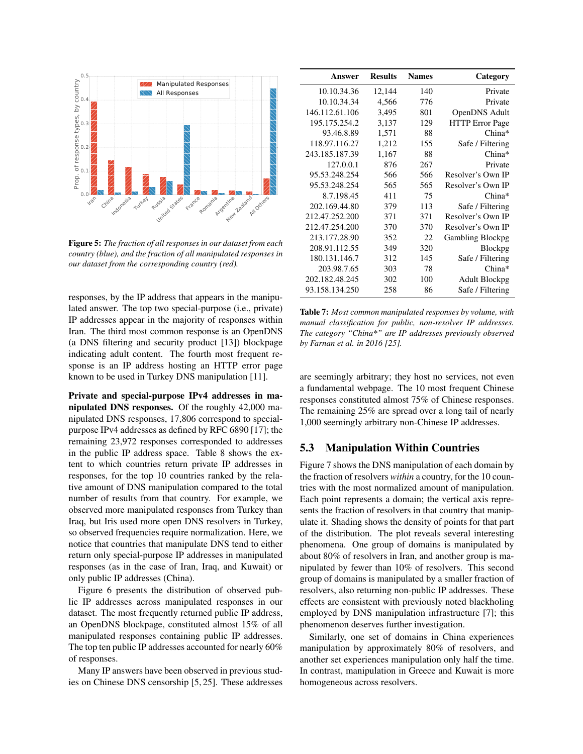

Figure 5: *The fraction of all responses in our dataset from each country (blue), and the fraction of all manipulated responses in our dataset from the corresponding country (red).*

responses, by the IP address that appears in the manipulated answer. The top two special-purpose (i.e., private) IP addresses appear in the majority of responses within Iran. The third most common response is an OpenDNS (a DNS filtering and security product [13]) blockpage indicating adult content. The fourth most frequent response is an IP address hosting an HTTP error page known to be used in Turkey DNS manipulation [11].

Private and special-purpose IPv4 addresses in manipulated DNS responses. Of the roughly 42,000 manipulated DNS responses, 17,806 correspond to specialpurpose IPv4 addresses as defined by RFC 6890 [17]; the remaining 23,972 responses corresponded to addresses in the public IP address space. Table 8 shows the extent to which countries return private IP addresses in responses, for the top 10 countries ranked by the relative amount of DNS manipulation compared to the total number of results from that country. For example, we observed more manipulated responses from Turkey than Iraq, but Iris used more open DNS resolvers in Turkey, so observed frequencies require normalization. Here, we notice that countries that manipulate DNS tend to either return only special-purpose IP addresses in manipulated responses (as in the case of Iran, Iraq, and Kuwait) or only public IP addresses (China).

Figure 6 presents the distribution of observed public IP addresses across manipulated responses in our dataset. The most frequently returned public IP address, an OpenDNS blockpage, constituted almost 15% of all manipulated responses containing public IP addresses. The top ten public IP addresses accounted for nearly 60% of responses.

Many IP answers have been observed in previous studies on Chinese DNS censorship [5, 25]. These addresses

| Answer         | <b>Results</b> | <b>Names</b> | Category                |
|----------------|----------------|--------------|-------------------------|
| 10.10.34.36    | 12,144         | 140          | Private                 |
| 10.10.34.34    | 4,566          | 776          | Private                 |
| 146.112.61.106 | 3,495          | 801          | OpenDNS Adult           |
| 195.175.254.2  | 3,137          | 129          | <b>HTTP</b> Error Page  |
| 93.46.8.89     | 1,571          | 88           | China*                  |
| 118.97.116.27  | 1,212          | 155          | Safe / Filtering        |
| 243.185.187.39 | 1,167          | 88           | $China*$                |
| 127.0.0.1      | 876            | 267          | Private                 |
| 95.53.248.254  | 566            | 566          | Resolver's Own IP       |
| 95.53.248.254  | 565            | 565          | Resolver's Own IP       |
| 8.7.198.45     | 411            | 75           | $China*$                |
| 202.169.44.80  | 379            | 113          | Safe / Filtering        |
| 212.47.252.200 | 371            | 371          | Resolver's Own IP       |
| 212.47.254.200 | 370            | 370          | Resolver's Own IP       |
| 213.177.28.90  | 352            | 22           | <b>Gambling Blockpg</b> |
| 208.91.112.55  | 349            | 320          | Blockpg                 |
| 180.131.146.7  | 312            | 145          | Safe / Filtering        |
| 203.98.7.65    | 303            | 78           | China*                  |
| 202.182.48.245 | 302            | 100          | <b>Adult Blockpg</b>    |
| 93.158.134.250 | 258            | 86           | Safe / Filtering        |

Table 7: *Most common manipulated responses by volume, with manual classification for public, non-resolver IP addresses. The category "China\*" are IP addresses previously observed by Farnan et al. in 2016 [25].*

are seemingly arbitrary; they host no services, not even a fundamental webpage. The 10 most frequent Chinese responses constituted almost 75% of Chinese responses. The remaining 25% are spread over a long tail of nearly 1,000 seemingly arbitrary non-Chinese IP addresses.

# 5.3 Manipulation Within Countries

Figure 7 shows the DNS manipulation of each domain by the fraction of resolvers *within* a country, for the 10 countries with the most normalized amount of manipulation. Each point represents a domain; the vertical axis represents the fraction of resolvers in that country that manipulate it. Shading shows the density of points for that part of the distribution. The plot reveals several interesting phenomena. One group of domains is manipulated by about 80% of resolvers in Iran, and another group is manipulated by fewer than 10% of resolvers. This second group of domains is manipulated by a smaller fraction of resolvers, also returning non-public IP addresses. These effects are consistent with previously noted blackholing employed by DNS manipulation infrastructure [7]; this phenomenon deserves further investigation.

Similarly, one set of domains in China experiences manipulation by approximately 80% of resolvers, and another set experiences manipulation only half the time. In contrast, manipulation in Greece and Kuwait is more homogeneous across resolvers.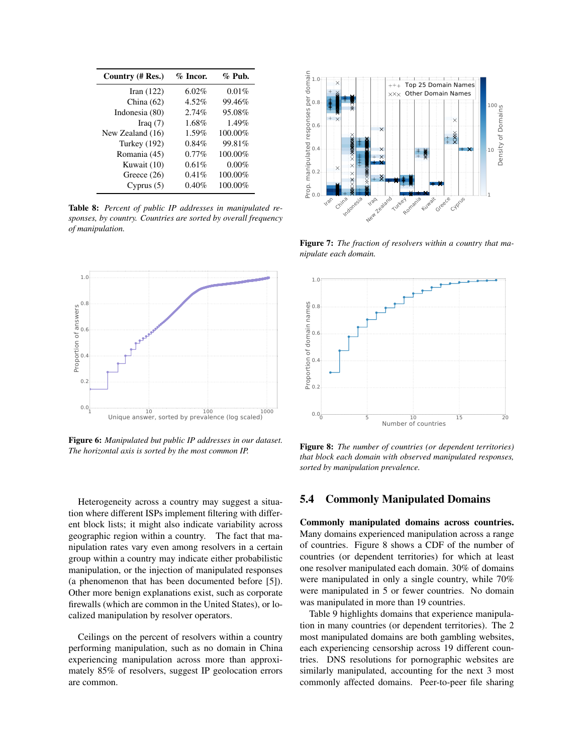| Country (# Res.)    | $\%$ Incor. | $\%$ Pub. |
|---------------------|-------------|-----------|
| Iran $(122)$        | 6.02%       | 0.01%     |
| China $(62)$        | 4.52%       | 99.46%    |
| Indonesia (80)      | 2.74%       | 95.08%    |
| Iraq $(7)$          | 1.68%       | 1.49%     |
| New Zealand (16)    | 1.59%       | 100.00%   |
| <b>Turkey</b> (192) | 0.84%       | 99.81%    |
| Romania (45)        | $0.77\%$    | 100.00%   |
| Kuwait (10)         | 0.61%       | $0.00\%$  |
| Greece $(26)$       | 0.41%       | 100.00%   |
| Cyprus $(5)$        | $0.40\%$    | 100.00%   |

Table 8: *Percent of public IP addresses in manipulated responses, by country. Countries are sorted by overall frequency of manipulation.*



Figure 6: *Manipulated but public IP addresses in our dataset. The horizontal axis is sorted by the most common IP.*

Heterogeneity across a country may suggest a situation where different ISPs implement filtering with different block lists; it might also indicate variability across geographic region within a country. The fact that manipulation rates vary even among resolvers in a certain group within a country may indicate either probabilistic manipulation, or the injection of manipulated responses (a phenomenon that has been documented before [5]). Other more benign explanations exist, such as corporate firewalls (which are common in the United States), or localized manipulation by resolver operators.

Ceilings on the percent of resolvers within a country performing manipulation, such as no domain in China experiencing manipulation across more than approximately 85% of resolvers, suggest IP geolocation errors are common.



Figure 7: *The fraction of resolvers within a country that manipulate each domain.*



Figure 8: *The number of countries (or dependent territories) that block each domain with observed manipulated responses, sorted by manipulation prevalence.*

#### 5.4 Commonly Manipulated Domains

Commonly manipulated domains across countries. Many domains experienced manipulation across a range of countries. Figure 8 shows a CDF of the number of countries (or dependent territories) for which at least one resolver manipulated each domain. 30% of domains were manipulated in only a single country, while 70% were manipulated in 5 or fewer countries. No domain was manipulated in more than 19 countries.

Table 9 highlights domains that experience manipulation in many countries (or dependent territories). The 2 most manipulated domains are both gambling websites, each experiencing censorship across 19 different countries. DNS resolutions for pornographic websites are similarly manipulated, accounting for the next 3 most commonly affected domains. Peer-to-peer file sharing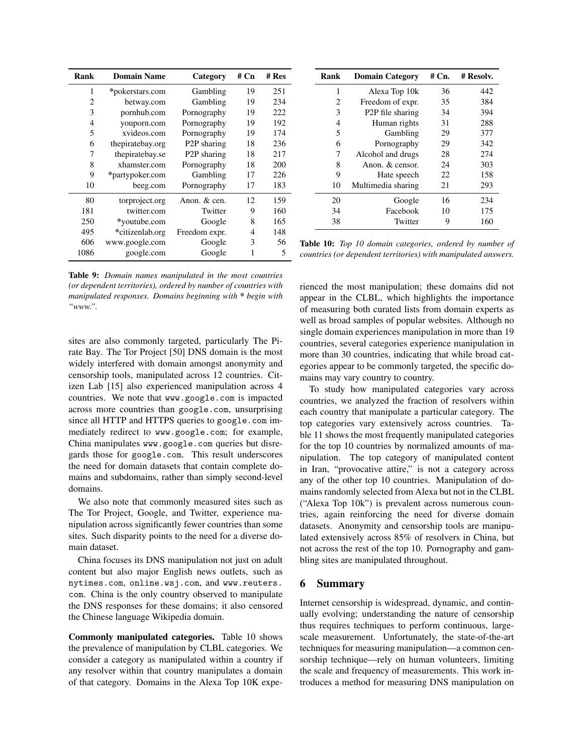| Rank           | <b>Domain Name</b> | Category                 | # Cn | # Res |
|----------------|--------------------|--------------------------|------|-------|
| 1              | *pokerstars.com    | Gambling                 | 19   | 251   |
| $\overline{c}$ | betway.com         | Gambling                 | 19   | 234   |
| 3              | pornhub.com        | Pornography              | 19   | 222   |
| 4              | youporn.com        | Pornography              | 19   | 192   |
| 5              | xvideos.com        | Pornography              | 19   | 174   |
| 6              | thepiratebay.org   | P <sub>2</sub> P sharing | 18   | 236   |
| 7              | thepiratebay.se    | P <sub>2</sub> P sharing | 18   | 217   |
| 8              | xhamster.com       | Pornography              | 18   | 200   |
| 9              | *partypoker.com    | Gambling                 | 17   | 226   |
| 10             | beeg.com           | Pornography              | 17   | 183   |
| 80             | torproject.org     | Anon. & cen.             | 12   | 159   |
| 181            | twitter.com        | Twitter                  | 9    | 160   |
| 250            | *youtube.com       | Google                   | 8    | 165   |
| 495            | *citizenlab.org    | Freedom expr.            | 4    | 148   |
| 606            | www.google.com     | Google                   | 3    | 56    |
| 1086           | google.com         | Google                   | 1    | 5     |

Table 9: *Domain names manipulated in the most countries (or dependent territories), ordered by number of countries with manipulated responses. Domains beginning with \* begin with "www.".*

sites are also commonly targeted, particularly The Pirate Bay. The Tor Project [50] DNS domain is the most widely interfered with domain amongst anonymity and censorship tools, manipulated across 12 countries. Citizen Lab [15] also experienced manipulation across 4 countries. We note that www.google.com is impacted across more countries than google.com, unsurprising since all HTTP and HTTPS queries to google.com immediately redirect to www.google.com; for example, China manipulates www.google.com queries but disregards those for google.com. This result underscores the need for domain datasets that contain complete domains and subdomains, rather than simply second-level domains.

We also note that commonly measured sites such as The Tor Project, Google, and Twitter, experience manipulation across significantly fewer countries than some sites. Such disparity points to the need for a diverse domain dataset.

China focuses its DNS manipulation not just on adult content but also major English news outlets, such as nytimes.com, online.wsj.com, and www.reuters. com. China is the only country observed to manipulate the DNS responses for these domains; it also censored the Chinese language Wikipedia domain.

Commonly manipulated categories. Table 10 shows the prevalence of manipulation by CLBL categories. We consider a category as manipulated within a country if any resolver within that country manipulates a domain of that category. Domains in the Alexa Top 10K expe-

| Rank | <b>Domain Category</b>        | $#$ Cn. | # Resolv. |
|------|-------------------------------|---------|-----------|
| 1    | Alexa Top 10k                 | 36      | 442       |
| 2    | Freedom of expr.              | 35      | 384       |
| 3    | P <sub>2</sub> P file sharing | 34      | 394       |
| 4    | Human rights                  | 31      | 288       |
| 5    | Gambling                      | 29      | 377       |
| 6    | Pornography                   | 29      | 342       |
| 7    | Alcohol and drugs             | 28      | 274       |
| 8    | Anon. & censor.               | 24      | 303       |
| 9    | Hate speech                   | 22      | 158       |
| 10   | Multimedia sharing            | 21      | 293       |
| 20   | Google                        | 16      | 234       |
| 34   | Facebook                      | 10      | 175       |
| 38   | Twitter                       | 9       | 160       |

Table 10: *Top 10 domain categories, ordered by number of countries (or dependent territories) with manipulated answers.*

rienced the most manipulation; these domains did not appear in the CLBL, which highlights the importance of measuring both curated lists from domain experts as well as broad samples of popular websites. Although no single domain experiences manipulation in more than 19 countries, several categories experience manipulation in more than 30 countries, indicating that while broad categories appear to be commonly targeted, the specific domains may vary country to country.

To study how manipulated categories vary across countries, we analyzed the fraction of resolvers within each country that manipulate a particular category. The top categories vary extensively across countries. Table 11 shows the most frequently manipulated categories for the top 10 countries by normalized amounts of manipulation. The top category of manipulated content in Iran, "provocative attire," is not a category across any of the other top 10 countries. Manipulation of domains randomly selected from Alexa but not in the CLBL ("Alexa Top 10k") is prevalent across numerous countries, again reinforcing the need for diverse domain datasets. Anonymity and censorship tools are manipulated extensively across 85% of resolvers in China, but not across the rest of the top 10. Pornography and gambling sites are manipulated throughout.

#### 6 Summary

Internet censorship is widespread, dynamic, and continually evolving; understanding the nature of censorship thus requires techniques to perform continuous, largescale measurement. Unfortunately, the state-of-the-art techniques for measuring manipulation—a common censorship technique—rely on human volunteers, limiting the scale and frequency of measurements. This work introduces a method for measuring DNS manipulation on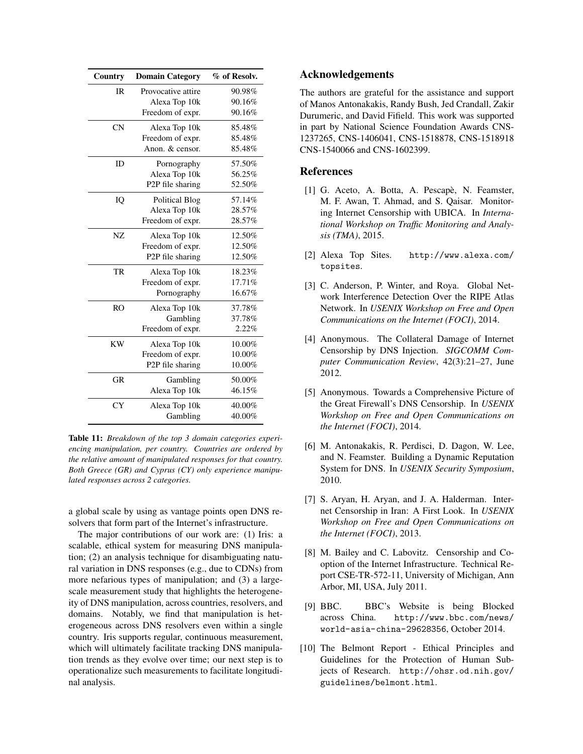| Country        | <b>Domain Category</b>        | % of Resolv. |
|----------------|-------------------------------|--------------|
| <b>IR</b>      | Provocative attire            | 90.98%       |
|                | Alexa Top 10k                 | 90.16%       |
|                | Freedom of expr.              | 90.16%       |
| CN             | Alexa Top 10k                 | 85.48%       |
|                | Freedom of expr.              | 85.48%       |
|                | Anon. & censor.               | 85.48%       |
| ID             | Pornography                   | 57.50%       |
|                | Alexa Top 10k                 | 56.25%       |
|                | P2P file sharing              | 52.50%       |
| IQ             | <b>Political Blog</b>         | 57.14%       |
|                | Alexa Top 10k                 | 28.57%       |
|                | Freedom of expr.              | 28.57%       |
| NZ             | Alexa Top 10k                 | 12.50%       |
|                | Freedom of expr.              | 12.50%       |
|                | P <sub>2</sub> P file sharing | 12.50%       |
| TR             | Alexa Top 10k                 | 18.23%       |
|                | Freedom of expr.              | 17.71%       |
|                | Pornography                   | 16.67%       |
| R <sub>O</sub> | Alexa Top 10k                 | 37.78%       |
|                | Gambling                      | 37.78%       |
|                | Freedom of expr.              | 2.22%        |
| <b>KW</b>      | Alexa Top 10k                 | 10.00%       |
|                | Freedom of expr.              | 10.00%       |
|                | P <sub>2</sub> P file sharing | 10.00%       |
| <b>GR</b>      | Gambling                      | 50.00%       |
|                | Alexa Top 10k                 | 46.15%       |
| <b>CY</b>      | Alexa Top 10k                 | 40.00%       |
|                | Gambling                      | 40.00%       |

Table 11: *Breakdown of the top 3 domain categories experiencing manipulation, per country. Countries are ordered by the relative amount of manipulated responses for that country. Both Greece (GR) and Cyprus (CY) only experience manipulated responses across 2 categories.*

a global scale by using as vantage points open DNS resolvers that form part of the Internet's infrastructure.

The major contributions of our work are: (1) Iris: a scalable, ethical system for measuring DNS manipulation; (2) an analysis technique for disambiguating natural variation in DNS responses (e.g., due to CDNs) from more nefarious types of manipulation; and (3) a largescale measurement study that highlights the heterogeneity of DNS manipulation, across countries, resolvers, and domains. Notably, we find that manipulation is heterogeneous across DNS resolvers even within a single country. Iris supports regular, continuous measurement, which will ultimately facilitate tracking DNS manipulation trends as they evolve over time; our next step is to operationalize such measurements to facilitate longitudinal analysis.

## Acknowledgements

The authors are grateful for the assistance and support of Manos Antonakakis, Randy Bush, Jed Crandall, Zakir Durumeric, and David Fifield. This work was supported in part by National Science Foundation Awards CNS-1237265, CNS-1406041, CNS-1518878, CNS-1518918 CNS-1540066 and CNS-1602399.

### **References**

- [1] G. Aceto, A. Botta, A. Pescapè, N. Feamster, M. F. Awan, T. Ahmad, and S. Qaisar. Monitoring Internet Censorship with UBICA. In *International Workshop on Traffic Monitoring and Analysis (TMA)*, 2015.
- [2] Alexa Top Sites. http://www.alexa.com/ topsites.
- [3] C. Anderson, P. Winter, and Roya. Global Network Interference Detection Over the RIPE Atlas Network. In *USENIX Workshop on Free and Open Communications on the Internet (FOCI)*, 2014.
- [4] Anonymous. The Collateral Damage of Internet Censorship by DNS Injection. *SIGCOMM Computer Communication Review*, 42(3):21–27, June 2012.
- [5] Anonymous. Towards a Comprehensive Picture of the Great Firewall's DNS Censorship. In *USENIX Workshop on Free and Open Communications on the Internet (FOCI)*, 2014.
- [6] M. Antonakakis, R. Perdisci, D. Dagon, W. Lee, and N. Feamster. Building a Dynamic Reputation System for DNS. In *USENIX Security Symposium*, 2010.
- [7] S. Aryan, H. Aryan, and J. A. Halderman. Internet Censorship in Iran: A First Look. In *USENIX Workshop on Free and Open Communications on the Internet (FOCI)*, 2013.
- [8] M. Bailey and C. Labovitz. Censorship and Cooption of the Internet Infrastructure. Technical Report CSE-TR-572-11, University of Michigan, Ann Arbor, MI, USA, July 2011.
- [9] BBC. BBC's Website is being Blocked across China. http://www.bbc.com/news/ world-asia-china-29628356, October 2014.
- [10] The Belmont Report Ethical Principles and Guidelines for the Protection of Human Subjects of Research. http://ohsr.od.nih.gov/ guidelines/belmont.html.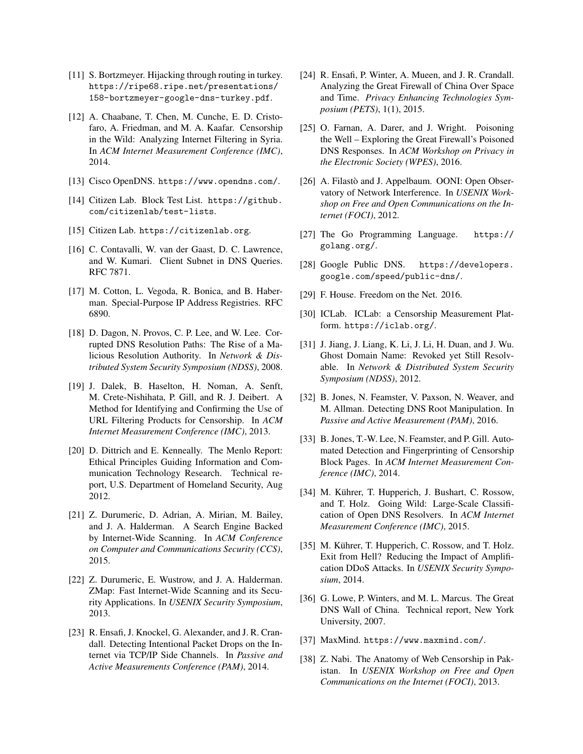- [11] S. Bortzmeyer. Hijacking through routing in turkey. https://ripe68.ripe.net/presentations/ 158-bortzmeyer-google-dns-turkey.pdf.
- [12] A. Chaabane, T. Chen, M. Cunche, E. D. Cristofaro, A. Friedman, and M. A. Kaafar. Censorship in the Wild: Analyzing Internet Filtering in Syria. In *ACM Internet Measurement Conference (IMC)*, 2014.
- [13] Cisco OpenDNS. https://www.opendns.com/.
- [14] Citizen Lab. Block Test List. https://github. com/citizenlab/test-lists.
- [15] Citizen Lab. https://citizenlab.org.
- [16] C. Contavalli, W. van der Gaast, D. C. Lawrence, and W. Kumari. Client Subnet in DNS Queries. RFC 7871.
- [17] M. Cotton, L. Vegoda, R. Bonica, and B. Haberman. Special-Purpose IP Address Registries. RFC 6890.
- [18] D. Dagon, N. Provos, C. P. Lee, and W. Lee. Corrupted DNS Resolution Paths: The Rise of a Malicious Resolution Authority. In *Network & Distributed System Security Symposium (NDSS)*, 2008.
- [19] J. Dalek, B. Haselton, H. Noman, A. Senft, M. Crete-Nishihata, P. Gill, and R. J. Deibert. A Method for Identifying and Confirming the Use of URL Filtering Products for Censorship. In *ACM Internet Measurement Conference (IMC)*, 2013.
- [20] D. Dittrich and E. Kenneally. The Menlo Report: Ethical Principles Guiding Information and Communication Technology Research. Technical report, U.S. Department of Homeland Security, Aug 2012.
- [21] Z. Durumeric, D. Adrian, A. Mirian, M. Bailey, and J. A. Halderman. A Search Engine Backed by Internet-Wide Scanning. In *ACM Conference on Computer and Communications Security (CCS)*, 2015.
- [22] Z. Durumeric, E. Wustrow, and J. A. Halderman. ZMap: Fast Internet-Wide Scanning and its Security Applications. In *USENIX Security Symposium*, 2013.
- [23] R. Ensafi, J. Knockel, G. Alexander, and J. R. Crandall. Detecting Intentional Packet Drops on the Internet via TCP/IP Side Channels. In *Passive and Active Measurements Conference (PAM)*, 2014.
- [24] R. Ensafi, P. Winter, A. Mueen, and J. R. Crandall. Analyzing the Great Firewall of China Over Space and Time. *Privacy Enhancing Technologies Symposium (PETS)*, 1(1), 2015.
- [25] O. Farnan, A. Darer, and J. Wright. Poisoning the Well – Exploring the Great Firewall's Poisoned DNS Responses. In *ACM Workshop on Privacy in the Electronic Society (WPES)*, 2016.
- [26] A. Filastò and J. Appelbaum. OONI: Open Observatory of Network Interference. In *USENIX Workshop on Free and Open Communications on the Internet (FOCI)*, 2012.
- [27] The Go Programming Language. https:// golang.org/.
- [28] Google Public DNS. https://developers. google.com/speed/public-dns/.
- [29] F. House. Freedom on the Net. 2016.
- [30] ICLab. ICLab: a Censorship Measurement Platform. https://iclab.org/.
- [31] J. Jiang, J. Liang, K. Li, J. Li, H. Duan, and J. Wu. Ghost Domain Name: Revoked yet Still Resolvable. In *Network & Distributed System Security Symposium (NDSS)*, 2012.
- [32] B. Jones, N. Feamster, V. Paxson, N. Weaver, and M. Allman. Detecting DNS Root Manipulation. In *Passive and Active Measurement (PAM)*, 2016.
- [33] B. Jones, T.-W. Lee, N. Feamster, and P. Gill. Automated Detection and Fingerprinting of Censorship Block Pages. In *ACM Internet Measurement Conference (IMC)*, 2014.
- [34] M. Kührer, T. Hupperich, J. Bushart, C. Rossow, and T. Holz. Going Wild: Large-Scale Classification of Open DNS Resolvers. In *ACM Internet Measurement Conference (IMC)*, 2015.
- [35] M. Kührer, T. Hupperich, C. Rossow, and T. Holz. Exit from Hell? Reducing the Impact of Amplification DDoS Attacks. In *USENIX Security Symposium*, 2014.
- [36] G. Lowe, P. Winters, and M. L. Marcus. The Great DNS Wall of China. Technical report, New York University, 2007.
- [37] MaxMind. https://www.maxmind.com/.
- [38] Z. Nabi. The Anatomy of Web Censorship in Pakistan. In *USENIX Workshop on Free and Open Communications on the Internet (FOCI)*, 2013.